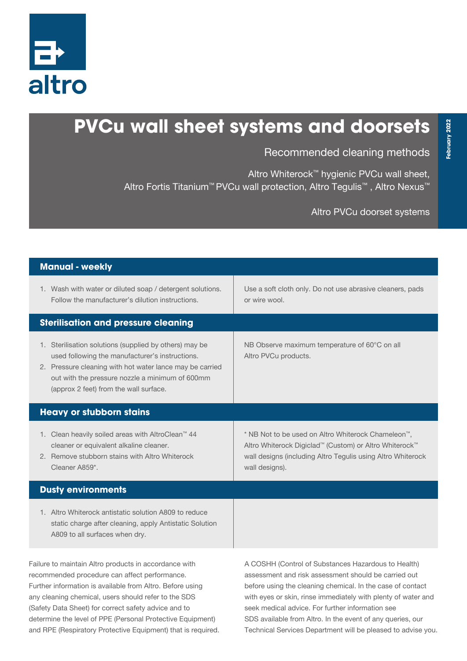

## **PVCu wall sheet systems and doorsets**

Recommended cleaning methods

Technical Services Department will be pleased to advise you.

Altro Whiterock™ hygienic PVCu wall sheet, Altro Fortis Titanium<sup>™</sup> PVCu wall protection, Altro Tegulis<sup>™</sup>, Altro Nexus<sup>™</sup>

Altro PVCu doorset systems

| <b>Manual - weekly</b>                                                                                                                                                                                                                                                                                                                            |                                                                                                                                                                                                                                                                                                                                                              |
|---------------------------------------------------------------------------------------------------------------------------------------------------------------------------------------------------------------------------------------------------------------------------------------------------------------------------------------------------|--------------------------------------------------------------------------------------------------------------------------------------------------------------------------------------------------------------------------------------------------------------------------------------------------------------------------------------------------------------|
| 1. Wash with water or diluted soap / detergent solutions.<br>Follow the manufacturer's dilution instructions.                                                                                                                                                                                                                                     | Use a soft cloth only. Do not use abrasive cleaners, pads<br>or wire wool.                                                                                                                                                                                                                                                                                   |
| <b>Sterilisation and pressure cleaning</b>                                                                                                                                                                                                                                                                                                        |                                                                                                                                                                                                                                                                                                                                                              |
| 1. Sterilisation solutions (supplied by others) may be<br>used following the manufacturer's instructions.<br>2. Pressure cleaning with hot water lance may be carried<br>out with the pressure nozzle a minimum of 600mm<br>(approx 2 feet) from the wall surface.                                                                                | NB Observe maximum temperature of 60°C on all<br>Altro PVCu products.                                                                                                                                                                                                                                                                                        |
| <b>Heavy or stubborn stains</b>                                                                                                                                                                                                                                                                                                                   |                                                                                                                                                                                                                                                                                                                                                              |
| 1. Clean heavily soiled areas with AltroClean <sup>™</sup> 44<br>cleaner or equivalent alkaline cleaner.<br>2. Remove stubborn stains with Altro Whiterock<br>Cleaner A859*.                                                                                                                                                                      | * NB Not to be used on Altro Whiterock Chameleon <sup>™</sup> ,<br>Altro Whiterock Digiclad™ (Custom) or Altro Whiterock™<br>wall designs (including Altro Tegulis using Altro Whiterock<br>wall designs).                                                                                                                                                   |
| <b>Dusty environments</b>                                                                                                                                                                                                                                                                                                                         |                                                                                                                                                                                                                                                                                                                                                              |
| 1. Altro Whiterock antistatic solution A809 to reduce<br>static charge after cleaning, apply Antistatic Solution<br>A809 to all surfaces when dry.                                                                                                                                                                                                |                                                                                                                                                                                                                                                                                                                                                              |
| Failure to maintain Altro products in accordance with<br>recommended procedure can affect performance.<br>Further information is available from Altro. Before using<br>any cleaning chemical, users should refer to the SDS<br>(Safety Data Sheet) for correct safety advice and to<br>determine the level of PPE (Personal Protective Equipment) | A COSHH (Control of Substances Hazardous to Health)<br>assessment and risk assessment should be carried out<br>before using the cleaning chemical. In the case of contact<br>with eyes or skin, rinse immediately with plenty of water and<br>seek medical advice. For further information see<br>SDS available from Altro. In the event of any queries, our |

and RPE (Respiratory Protective Equipment) that is required.